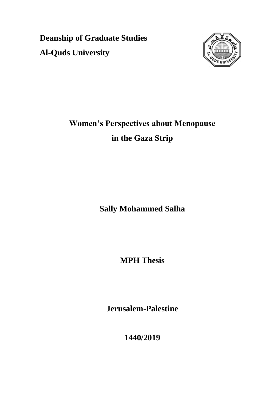**Deanship of Graduate Studies Al-Quds University**



# **Women's Perspectives about Menopause in the Gaza Strip**

**Sally Mohammed Salha**

**MPH Thesis**

**Jerusalem-Palestine**

**1440/2019**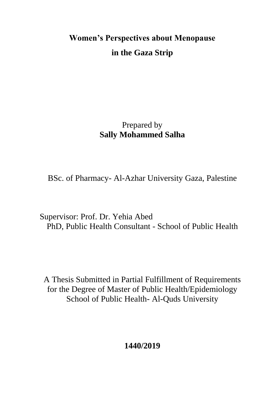# **Women's Perspectives about Menopause in the Gaza Strip**

# Prepared by **Sally Mohammed Salha**

BSc. of Pharmacy- Al-Azhar University Gaza, Palestine

Supervisor: Prof. Dr. Yehia Abed PhD, Public Health Consultant - School of Public Health

A Thesis Submitted in Partial Fulfillment of Requirements for the Degree of Master of Public Health/Epidemiology School of Public Health- Al-Quds University

**1440/2019**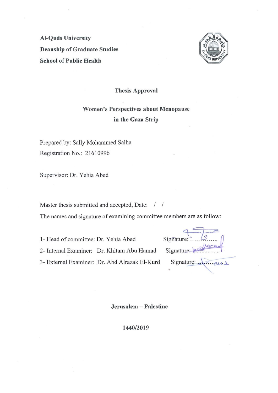<span id="page-2-0"></span>**Al-Quds University Deanship of Graduate Studies School of Public Health** 



**Thesis Approval** 

### **Women's Perspectives about Menopause** in the Gaza Strip

Prepared by: Sally Mohammed Salha Registration No.: 21610996

Supervisor: Dr. Yehia Abed

Master thesis submitted and accepted, Date: / /

The names and signature of examining committee members are as follow:

1- Head of committee: Dr. Yehia Abed

2- Internal Examiner: Dr. Khitam Abu Hamad

3- External Examiner: Dr. Abd Alrazak El-Kurd

| Signature: |                |
|------------|----------------|
| Signature: |                |
| Signature: | 2 <sub>1</sub> |

Jerusalem - Palestine

1440/2019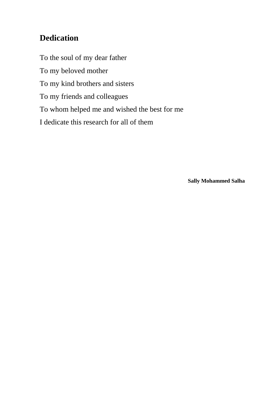## **Dedication**

To the soul of my dear father To my beloved mother To my kind brothers and sisters To my friends and colleagues To whom helped me and wished the best for me I dedicate this research for all of them

**Sally Mohammed Salha**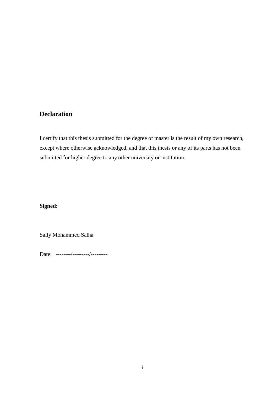#### <span id="page-4-0"></span>**Declaration**

I certify that this thesis submitted for the degree of master is the result of my own research, except where otherwise acknowledged, and that this thesis or any of its parts has not been submitted for higher degree to any other university or institution.

#### **Signed:**

Sally Mohammed Salha

Date: --------/---------/---------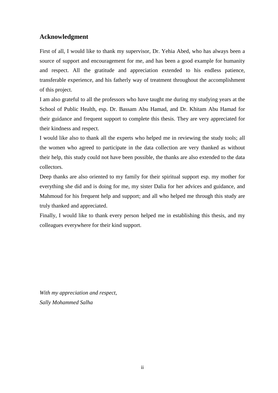#### <span id="page-5-0"></span>**Acknowledgment**

First of all, I would like to thank my supervisor, Dr. Yehia Abed, who has always been a source of support and encouragement for me, and has been a good example for humanity and respect. All the gratitude and appreciation extended to his endless patience, transferable experience, and his fatherly way of treatment throughout the accomplishment of this project.

I am also grateful to all the professors who have taught me during my studying years at the School of Public Health, esp. Dr. Bassam Abu Hamad, and Dr. Khitam Abu Hamad for their guidance and frequent support to complete this thesis. They are very appreciated for their kindness and respect.

I would like also to thank all the experts who helped me in reviewing the study tools; all the women who agreed to participate in the data collection are very thanked as without their help, this study could not have been possible, the thanks are also extended to the data collectors.

Deep thanks are also oriented to my family for their spiritual support esp. my mother for everything she did and is doing for me, my sister Dalia for her advices and guidance, and Mahmoud for his frequent help and support; and all who helped me through this study are truly thanked and appreciated.

Finally, I would like to thank every person helped me in establishing this thesis, and my colleagues everywhere for their kind support.

*With my appreciation and respect, Sally Mohammed Salha*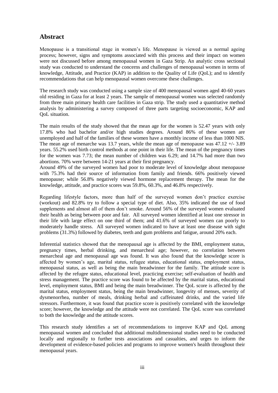#### <span id="page-6-0"></span>**Abstract**

Menopause is a transitional stage in women's life. Menopause is viewed as a normal ageing process; however, signs and symptoms associated with this process and their impact on women were not discussed before among menopausal women in Gaza Strip. An analytic cross sectional study was conducted to understand the concerns and challenges of menopausal women in terms of knowledge, Attitude, and Practice (KAP) in addition to the Quality of Life (QoL); and to identify recommendations that can help menopausal women overcome these challenges.

The research study was conducted using a sample size of 400 menopausal women aged 40-60 years old residing in Gaza for at least 2 years. The sample of menopausal women was selected randomly from three main primary health care facilities in Gaza strip. The study used a quantitative method analysis by administering a survey composed of three parts targeting socioeconomic, KAP and QoL situation.

The main results of the study showed that the mean age for the women is 52.47 years with only 17.8% who had bachelor and/or high studies degrees. Around 86% of these women are unemployed and half of the families of these women have a monthly income of less than 1000 NIS. The mean age of menarche was 13.7 years, while the mean age of menopause was 47.12 +/- 3.89 years. 55.2% used birth control methods at one point in their life. The mean of the pregnancy times for the women was 7.73; the mean number of children was 6.29; and 14.7% had more than two abortions. 70% were between 14-21 years at their first pregnancy.

Around 49% of the surveyed women had poor to moderate level of knowledge about menopause with 75.3% had their source of information from family and friends. 66% positively viewed menopause; while 56.8% negatively viewed hormone replacement therapy. The mean for the knowledge, attitude, and practice scores was 59.8%, 60.3%, and 46.8% respectively.

Regarding lifestyle factors, more than half of the surveyed women don't practice exercise (workout) and 82.8% try to follow a special type of diet. Also, 35% indicated the use of food supplements and almost all of them don't smoke. Around 56% of the surveyed women evaluated their health as being between poor and fair. All surveyed women identified at least one stressor in their life with large effect on one third of them; and 41.6% of surveyed women can poorly to moderately handle stress. All surveyed women indicated to have at least one disease with sight problems (31.3%) followed by diabetes, teeth and gum problems and fatigue, around 20% each.

Inferential statistics showed that the menopausal age is affected by the BMI, employment status, pregnancy times, herbal drinking, and menarcheal age; however, no correlation between menarcheal age and menopausal age was found. It was also found that the knowledge score is affected by women's age, marital status, refugee status, educational status, employment status, menopausal status, as well as being the main breadwinner for the family. The attitude score is affected by the refugee status, educational level, practicing exercise; self-evaluation of health and stress management. The practice score was found to be affected by the marital status, educational level, employment status, BMI and being the main breadwinner. The QoL score is affected by the marital status, employment status, being the main breadwinner, longevity of menses, severity of dysmenorrhea, number of meals, drinking herbal and caffeinated drinks, and the varied life stressors. Furthermore, it was found that practice score is positively correlated with the knowledge score; however, the knowledge and the attitude were not correlated. The QoL score was correlated to both the knowledge and the attitude scores.

This research study identifies a set of recommendations to improve KAP and QoL among menopausal women and concluded that additional multidimensional studies need to be conducted locally and regionally to further tests associations and casualties, and urges to inform the development of evidence-based policies and programs to improve women's health throughout their menopausal years.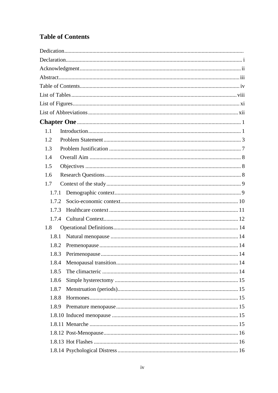## <span id="page-7-0"></span>**Table of Contents**

| 1.1   |
|-------|
| 1.2   |
| 1.3   |
| 1.4   |
| 1.5   |
| 1.6   |
| 1.7   |
| 1.7.1 |
| 1.7.2 |
| 1.7.3 |
|       |
| 1.8   |
| 1.8.1 |
| 1.8.2 |
| 1.8.3 |
| 1.8.4 |
| 1.8.5 |
| 1.8.6 |
| 1.8.7 |
| 1.8.8 |
| 1.8.9 |
|       |
|       |
|       |
|       |
|       |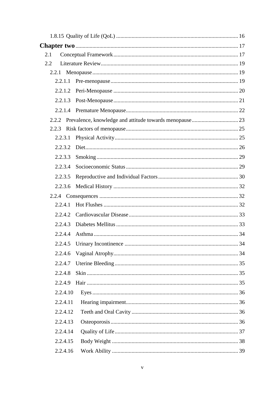| 2.1 |          |  |
|-----|----------|--|
| 2.2 |          |  |
|     | 2.2.1    |  |
|     | 2.2.1.1  |  |
|     |          |  |
|     | 2.2.1.3  |  |
|     | 2.2.1.4  |  |
|     | 2.2.2    |  |
|     | 2.2.3    |  |
|     | 2.2.3.1  |  |
|     | 2.2.3.2  |  |
|     | 2.2.3.3  |  |
|     | 2.2.3.4  |  |
|     | 2.2.3.5  |  |
|     | 2.2.3.6  |  |
|     |          |  |
|     | 2.2.4.1  |  |
|     | 2.2.4.2  |  |
|     | 2.2.4.3  |  |
|     | 2.2.4.4  |  |
|     | 2.2.4.5  |  |
|     | 2.2.4.6  |  |
|     | 2.2.4.7  |  |
|     | 2.2.4.8  |  |
|     | 2.2.4.9  |  |
|     | 2.2.4.10 |  |
|     | 2.2.4.11 |  |
|     | 2.2.4.12 |  |
|     | 2.2.4.13 |  |
|     | 2.2.4.14 |  |
|     | 2.2.4.15 |  |
|     | 2.2.4.16 |  |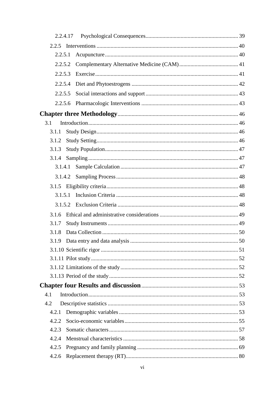|         | 2.2.4.17 |  |
|---------|----------|--|
| 2.2.5   |          |  |
| 2.2.5.1 |          |  |
| 2.2.5.2 |          |  |
| 2.2.5.3 |          |  |
| 2.2.5.4 |          |  |
| 2.2.5.5 |          |  |
| 2.2.5.6 |          |  |
|         |          |  |
| 3.1     |          |  |
| 3.1.1   |          |  |
| 3.1.2   |          |  |
| 3.1.3   |          |  |
| 3.1.4   |          |  |
| 3.1.4.1 |          |  |
| 3.1.4.2 |          |  |
|         |          |  |
| 3.1.5.1 |          |  |
| 3.1.5.2 |          |  |
| 3.1.6   |          |  |
| 3.1.7   |          |  |
| 3.1.8   |          |  |
|         |          |  |
|         |          |  |
|         |          |  |
|         |          |  |
|         |          |  |
|         |          |  |
| 4.1     |          |  |
| 4.2     |          |  |
| 4.2.1   |          |  |
| 4.2.2   |          |  |
| 4.2.3   |          |  |
| 4.2.4   |          |  |
| 4.2.5   |          |  |
| 4.2.6   |          |  |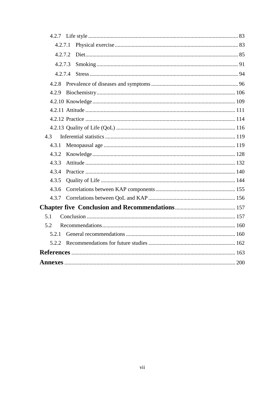| 4.2.7.1 |  |
|---------|--|
| 4.2.7.2 |  |
| 4.2.7.3 |  |
| 4.2.7.4 |  |
| 4.2.8   |  |
| 4.2.9   |  |
|         |  |
|         |  |
|         |  |
|         |  |
| 4.3     |  |
| 4.3.1   |  |
| 4.3.2   |  |
| 4.3.3   |  |
| 4.3.4   |  |
| 4.3.5   |  |
| 4.3.6   |  |
|         |  |
|         |  |
| 5.1     |  |
| 5.2     |  |
|         |  |
| 5.2.2   |  |
|         |  |
|         |  |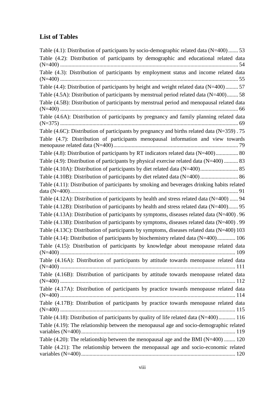### <span id="page-11-0"></span>**List of Tables**

| Table $(4.1)$ : Distribution of participants by socio-demographic related data $(N=400)$ 53     |
|-------------------------------------------------------------------------------------------------|
| Table (4.2): Distribution of participants by demographic and educational related data           |
| Table (4.3): Distribution of participants by employment status and income related data          |
| Table (4.4): Distribution of participants by height and weight related data (N=400) 57          |
| Table (4.5A): Distribution of participants by menstrual period related data (N=400) 58          |
| Table (4.5B): Distribution of participants by menstrual period and menopausal related data      |
| Table (4.6A): Distribution of participants by pregnancy and family planning related data        |
| Table (4.6C): Distribution of participants by pregnancy and births related data ( $N=359$ ). 75 |
| Table (4.7): Distribution of participants menopausal information and view towards               |
| Table (4.8): Distribution of participants by RT indicators related data (N=400) 80              |
| Table $(4.9)$ : Distribution of participants by physical exercise related data $(N=400)$ 83     |
|                                                                                                 |
|                                                                                                 |
| Table (4.11): Distribution of participants by smoking and beverages drinking habits related     |
| Table (4.12A): Distribution of participants by health and stress related data (N=400)  94       |
| Table (4.12B): Distribution of participants by health and stress related data $(N=400)$ 95      |
| Table (4.13A): Distribution of participants by symptoms, diseases related data (N=400). 96      |
| Table (4.13B): Distribution of participants by symptoms, diseases related data (N=400). 99      |
| Table (4.13C): Distribution of participants by symptoms, diseases related data (N=400) 103      |
| Table (4.14): Distribution of participants by biochemistry related data (N=400) 106             |
| Table (4.15): Distribution of participants by knowledge about menopause related data            |
| Table (4.16A): Distribution of participants by attitude towards menopause related data          |
| Table (4.16B): Distribution of participants by attitude towards menopause related data          |
| Table (4.17A): Distribution of participants by practice towards menopause related data          |
| Table (4.17B): Distribution of participants by practice towards menopause related data          |
| Table (4.18): Distribution of participants by quality of life related data (N=400) 116          |
| Table (4.19): The relationship between the menopausal age and socio-demographic related         |
| Table $(4.20)$ : The relationship between the menopausal age and the BMI (N=400)  120           |
| Table (4.21): The relationship between the menopausal age and socio-economic related            |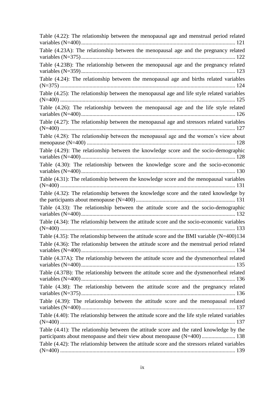| Table (4.22): The relationship between the menopausal age and menstrual period related                                                                              |
|---------------------------------------------------------------------------------------------------------------------------------------------------------------------|
| Table (4.23A): The relationship between the menopausal age and the pregnancy related                                                                                |
| Table (4.23B): The relationship between the menopausal age and the pregnancy related                                                                                |
| Table (4.24): The relationship between the menopausal age and births related variables                                                                              |
| Table (4.25): The relationship between the menopausal age and life style related variables                                                                          |
| Table (4.26): The relationship between the menopausal age and the life style related                                                                                |
| Table (4.27): The relationship between the menopausal age and stressors related variables                                                                           |
| Table (4.28): The relationship between the menopausal age and the women's view about                                                                                |
| Table (4.29): The relationship between the knowledge score and the socio-demographic                                                                                |
| Table (4.30): The relationship between the knowledge score and the socio-economic                                                                                   |
| Table (4.31): The relationship between the knowledge score and the menopausal variables                                                                             |
| Table (4.32): The relationship between the knowledge score and the rated knowledge by                                                                               |
| Table (4.33): The relationship between the attitude score and the socio-demographic                                                                                 |
| Table (4.34): The relationship between the attitude score and the socio-economic variables                                                                          |
| Table $(4.35)$ : The relationship between the attitude score and the BMI variable $(N=400)134$                                                                      |
| Table (4.36): The relationship between the attitude score and the menstrual period related                                                                          |
| Table (4.37A): The relationship between the attitude score and the dysmenorrheal related                                                                            |
| Table (4.37B): The relationship between the attitude score and the dysmenorrheal related                                                                            |
| Table (4.38): The relationship between the attitude score and the pregnancy related                                                                                 |
| Table (4.39): The relationship between the attitude score and the menopausal related                                                                                |
| Table (4.40): The relationship between the attitude score and the life style related variables                                                                      |
| Table (4.41): The relationship between the attitude score and the rated knowledge by the<br>participants about menopause and their view about menopause (N=400) 138 |
| Table (4.42): The relationship between the attitude score and the stressors related variables                                                                       |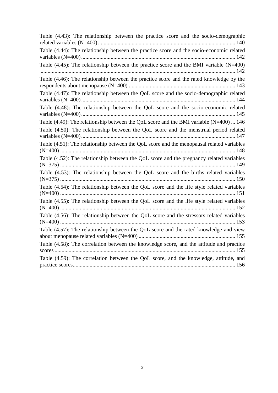| Table (4.43): The relationship between the practice score and the socio-demographic         |
|---------------------------------------------------------------------------------------------|
| Table (4.44): The relationship between the practice score and the socio-economic related    |
| Table $(4.45)$ : The relationship between the practice score and the BMI variable $(N=400)$ |
| Table (4.46): The relationship between the practice score and the rated knowledge by the    |
| Table (4.47): The relationship between the QoL score and the socio-demographic related      |
| Table (4.48): The relationship between the QoL score and the socio-economic related         |
| Table (4.49): The relationship between the QoL score and the BMI variable $(N=400)$ 146     |
| Table (4.50): The relationship between the QoL score and the menstrual period related       |
| Table (4.51): The relationship between the QoL score and the menopausal related variables   |
| Table (4.52): The relationship between the QoL score and the pregnancy related variables    |
| Table (4.53): The relationship between the QoL score and the births related variables       |
| Table (4.54): The relationship between the QoL score and the life style related variables   |
| Table (4.55): The relationship between the QoL score and the life style related variables   |
| Table (4.56): The relationship between the QoL score and the stressors related variables    |
| Table (4.57): The relationship between the QoL score and the rated knowledge and view       |
| Table (4.58): The correlation between the knowledge score, and the attitude and practice    |
| Table (4.59): The correlation between the QoL score, and the knowledge, attitude, and       |